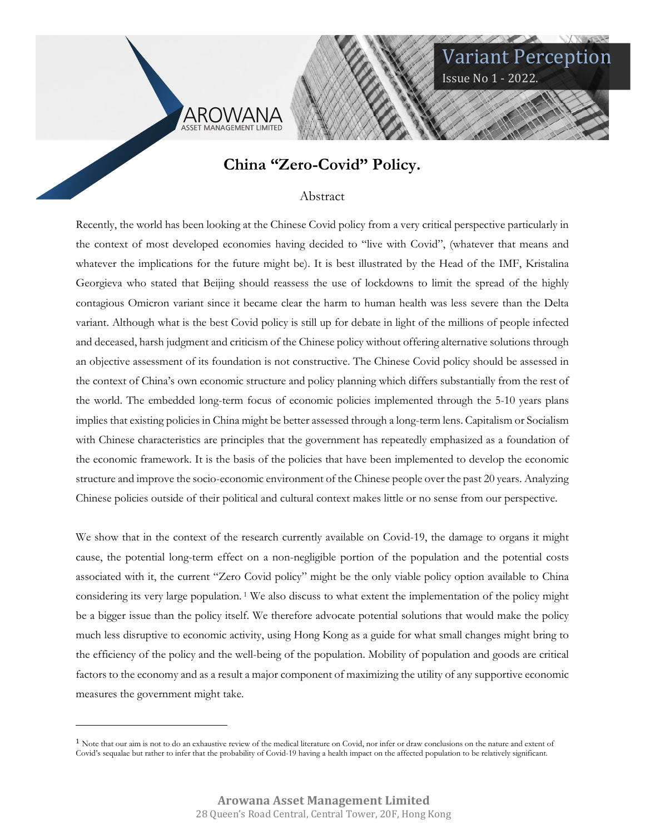



Variant Perception

Issue No 1 - 2022.

#### Abstract

Recently, the world has been looking at the Chinese Covid policy from a very critical perspective particularly in the context of most developed economies having decided to "live with Covid", (whatever that means and whatever the implications for the future might be). It is best illustrated by the Head of the IMF, Kristalina Georgieva who stated that Beijing should reassess the use of lockdowns to limit the spread of the highly contagious Omicron variant since it became clear the harm to human health was less severe than the Delta variant. Although what is the best Covid policy is still up for debate in light of the millions of people infected and deceased, harsh judgment and criticism of the Chinese policy without offering alternative solutions through an objective assessment of its foundation is not constructive. The Chinese Covid policy should be assessed in the context of China's own economic structure and policy planning which differs substantially from the rest of the world. The embedded long-term focus of economic policies implemented through the 5-10 years plans implies that existing policies in China might be better assessed through a long-term lens. Capitalism or Socialism with Chinese characteristics are principles that the government has repeatedly emphasized as a foundation of the economic framework. It is the basis of the policies that have been implemented to develop the economic structure and improve the socio-economic environment of the Chinese people over the past 20 years. Analyzing Chinese policies outside of their political and cultural context makes little or no sense from our perspective.

We show that in the context of the research currently available on Covid-19, the damage to organs it might cause, the potential long-term effect on a non-negligible portion of the population and the potential costs associated with it, the current "Zero Covid policy" might be the only viable policy option available to China considering its very large population. 1 We also discuss to what extent the implementation of the policy might be a bigger issue than the policy itself. We therefore advocate potential solutions that would make the policy much less disruptive to economic activity, using Hong Kong as a guide for what small changes might bring to the efficiency of the policy and the well-being of the population. Mobility of population and goods are critical factors to the economy and as a result a major component of maximizing the utility of any supportive economic measures the government might take.

<sup>&</sup>lt;sup>1</sup> Note that our aim is not to do an exhaustive review of the medical literature on Covid, nor infer or draw conclusions on the nature and extent of Covid's sequalae but rather to infer that the probability of Covid-19 having a health impact on the affected population to be relatively significant.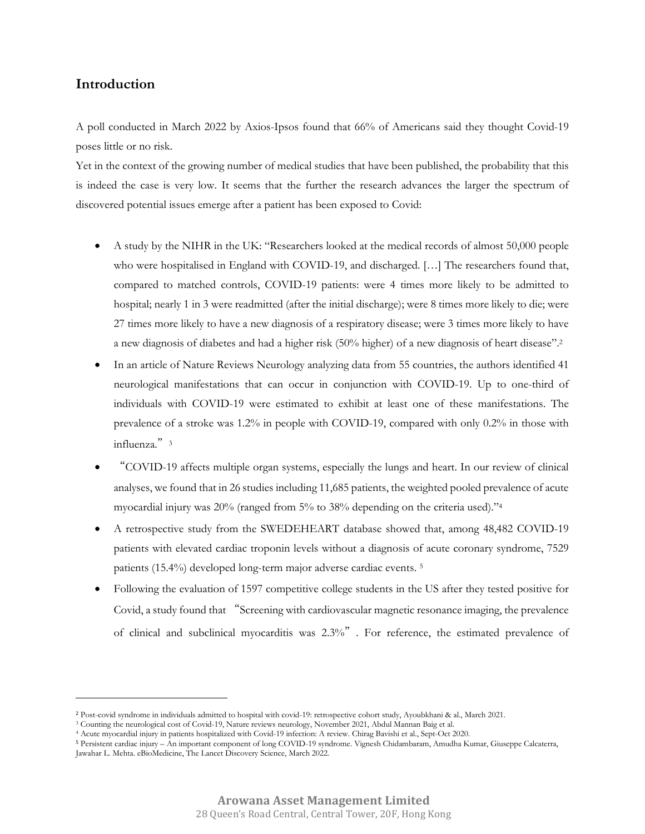# **Introduction**

A poll conducted in March 2022 by Axios-Ipsos found that 66% of Americans said they thought Covid-19 poses little or no risk.

Yet in the context of the growing number of medical studies that have been published, the probability that this is indeed the case is very low. It seems that the further the research advances the larger the spectrum of discovered potential issues emerge after a patient has been exposed to Covid:

- A study by the NIHR in the UK: "Researchers looked at the medical records of almost 50,000 people who were hospitalised in England with COVID-19, and discharged. […] The researchers found that, compared to matched controls, COVID-19 patients: were 4 times more likely to be admitted to hospital; nearly 1 in 3 were readmitted (after the initial discharge); were 8 times more likely to die; were 27 times more likely to have a new diagnosis of a respiratory disease; were 3 times more likely to have a new diagnosis of diabetes and had a higher risk (50% higher) of a new diagnosis of heart disease".<sup>2</sup>
- In an article of Nature Reviews Neurology analyzing data from 55 countries, the authors identified 41 neurological manifestations that can occur in conjunction with COVID-19. Up to one-third of individuals with COVID-19 were estimated to exhibit at least one of these manifestations. The prevalence of a stroke was 1.2% in people with COVID-19, compared with only 0.2% in those with influenza." $3$
- "COVID-19 affects multiple organ systems, especially the lungs and heart. In our review of clinical analyses, we found that in 26 studies including 11,685 patients, the weighted pooled prevalence of acute myocardial injury was 20% (ranged from 5% to 38% depending on the criteria used)."<sup>4</sup>
- A retrospective study from the SWEDEHEART database showed that, among 48,482 COVID-19 patients with elevated cardiac troponin levels without a diagnosis of acute coronary syndrome, 7529 patients (15.4%) developed long-term major adverse cardiac events. <sup>5</sup>
- Following the evaluation of 1597 competitive college students in the US after they tested positive for Covid, a study found that "Screening with cardiovascular magnetic resonance imaging, the prevalence of clinical and subclinical myocarditis was 2.3%". For reference, the estimated prevalence of

<sup>2</sup> Post-covid syndrome in individuals admitted to hospital with covid-19: retrospective cohort study, Ayoubkhani & al., March 2021.

<sup>3</sup> Counting the neurological cost of Covid-19, Nature reviews neurology, November 2021, Abdul Mannan Baig et al.

<sup>4</sup> Acute myocardial injury in patients hospitalized with Covid-19 infection: A review. Chirag Bavishi et al., Sept-Oct 2020.

<sup>5</sup> Persistent cardiac injury – An important component of long COVID-19 syndrome. Vignesh Chidambaram, Amudha Kumar, Giuseppe Calcaterra, Jawahar L. Mehta. eBioMedicine, The Lancet Discovery Science, March 2022.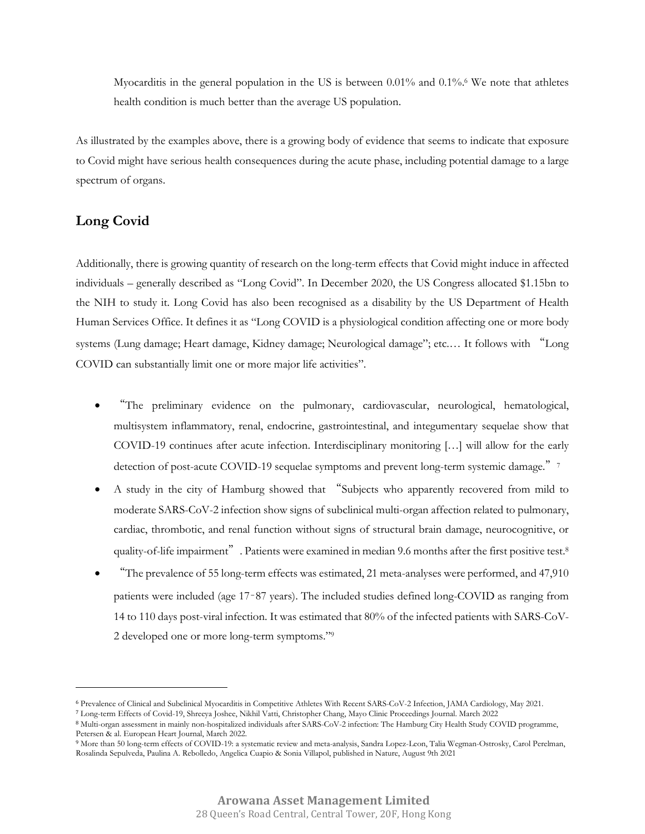Myocarditis in the general population in the US is between 0.01% and 0.1%.<sup>6</sup> We note that athletes health condition is much better than the average US population.

As illustrated by the examples above, there is a growing body of evidence that seems to indicate that exposure to Covid might have serious health consequences during the acute phase, including potential damage to a large spectrum of organs.

## **Long Covid**

Additionally, there is growing quantity of research on the long-term effects that Covid might induce in affected individuals – generally described as "Long Covid". In December 2020, the US Congress allocated \$1.15bn to the NIH to study it. Long Covid has also been recognised as a disability by the US Department of Health Human Services Office. It defines it as "Long COVID is a physiological condition affecting one or more body systems (Lung damage; Heart damage, Kidney damage; Neurological damage"; etc.… It follows with "Long COVID can substantially limit one or more major life activities".

- "The preliminary evidence on the pulmonary, cardiovascular, neurological, hematological, multisystem inflammatory, renal, endocrine, gastrointestinal, and integumentary sequelae show that COVID-19 continues after acute infection. Interdisciplinary monitoring […] will allow for the early detection of post-acute COVID-19 sequelae symptoms and prevent long-term systemic damage."<sup>7</sup>
- A study in the city of Hamburg showed that "Subjects who apparently recovered from mild to moderate SARS-CoV-2 infection show signs of subclinical multi-organ affection related to pulmonary, cardiac, thrombotic, and renal function without signs of structural brain damage, neurocognitive, or quality-of-life impairment". Patients were examined in median 9.6 months after the first positive test.<sup>8</sup>
- "The prevalence of 55 long-term effects was estimated, 21 meta-analyses were performed, and 47,910 patients were included (age 17–87 years). The included studies defined long-COVID as ranging from 14 to 110 days post-viral infection. It was estimated that 80% of the infected patients with SARS-CoV-2 developed one or more long-term symptoms."<sup>9</sup>

<sup>6</sup> Prevalence of Clinical and Subclinical Myocarditis in Competitive Athletes With Recent SARS-CoV-2 Infection, JAMA Cardiology, May 2021.

<sup>7</sup> Long-term Effects of Covid-19, Shreeya Joshee, Nikhil Vatti, Christopher Chang, Mayo Clinic Proceedings Journal. March 2022

<sup>8</sup> Multi-organ assessment in mainly non-hospitalized individuals after SARS-CoV-2 infection: The Hamburg City Health Study COVID programme, Petersen & al. European Heart Journal, March 2022.

<sup>9</sup> More than 50 long-term effects of COVID-19: a systematic review and meta-analysis, Sandra Lopez-Leon, Talia Wegman-Ostrosky, Carol Perelman, Rosalinda Sepulveda, Paulina A. Rebolledo, Angelica Cuapio & Sonia Villapol, published in Nature, August 9th 2021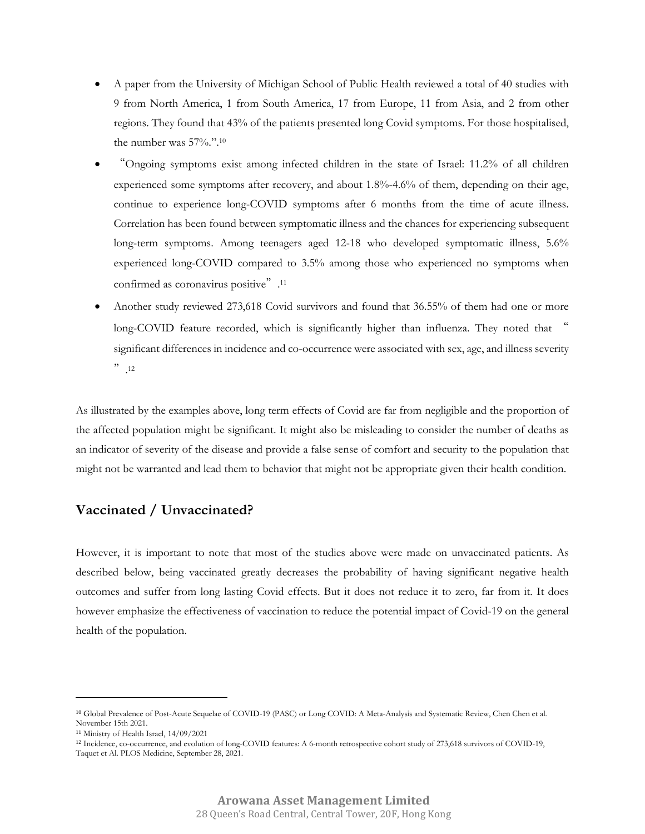- A paper from the University of Michigan School of Public Health reviewed a total of 40 studies with 9 from North America, 1 from South America, 17 from Europe, 11 from Asia, and 2 from other regions. They found that 43% of the patients presented long Covid symptoms. For those hospitalised, the number was 57%.".<sup>10</sup>
- "Ongoing symptoms exist among infected children in the state of Israel: 11.2% of all children experienced some symptoms after recovery, and about 1.8%-4.6% of them, depending on their age, continue to experience long-COVID symptoms after 6 months from the time of acute illness. Correlation has been found between symptomatic illness and the chances for experiencing subsequent long-term symptoms. Among teenagers aged 12-18 who developed symptomatic illness, 5.6% experienced long-COVID compared to 3.5% among those who experienced no symptoms when confirmed as coronavirus positive". 11
- Another study reviewed 273,618 Covid survivors and found that 36.55% of them had one or more long-COVID feature recorded, which is significantly higher than influenza. They noted that " significant differences in incidence and co-occurrence were associated with sex, age, and illness severity  $\ddot{\hspace{1mm}}$ ,12

As illustrated by the examples above, long term effects of Covid are far from negligible and the proportion of the affected population might be significant. It might also be misleading to consider the number of deaths as an indicator of severity of the disease and provide a false sense of comfort and security to the population that might not be warranted and lead them to behavior that might not be appropriate given their health condition.

# **Vaccinated / Unvaccinated?**

However, it is important to note that most of the studies above were made on unvaccinated patients. As described below, being vaccinated greatly decreases the probability of having significant negative health outcomes and suffer from long lasting Covid effects. But it does not reduce it to zero, far from it. It does however emphasize the effectiveness of vaccination to reduce the potential impact of Covid-19 on the general health of the population.

<sup>10</sup> Global Prevalence of Post-Acute Sequelae of COVID-19 (PASC) or Long COVID: A Meta-Analysis and Systematic Review, Chen Chen et al. November 15th 2021.

<sup>11</sup> Ministry of Health Israel, 14/09/2021

<sup>12</sup> Incidence, co-occurrence, and evolution of long-COVID features: A 6-month retrospective cohort study of 273,618 survivors of COVID-19, Taquet et Al. PLOS Medicine, September 28, 2021.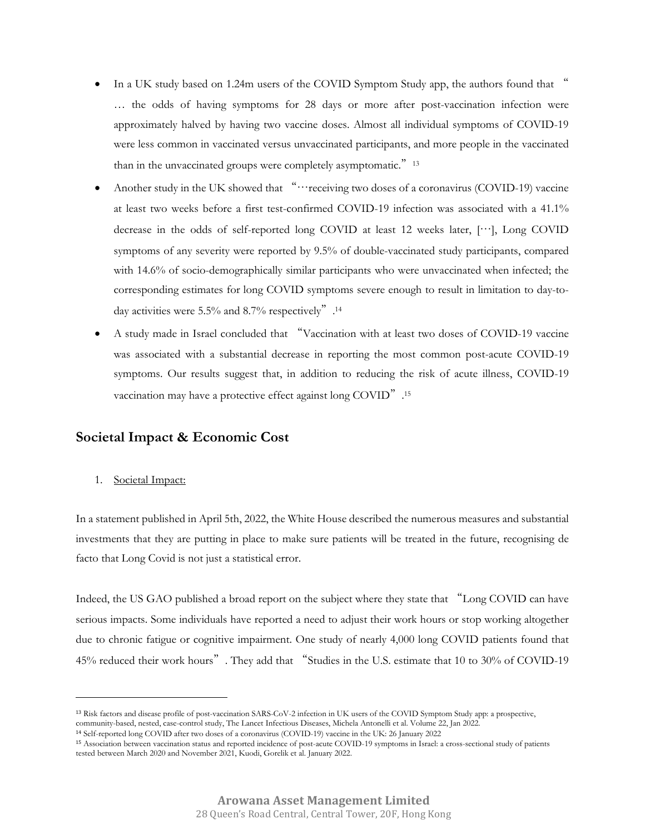- In a UK study based on 1.24m users of the COVID Symptom Study app, the authors found that " … the odds of having symptoms for 28 days or more after post-vaccination infection were approximately halved by having two vaccine doses. Almost all individual symptoms of COVID-19 were less common in vaccinated versus unvaccinated participants, and more people in the vaccinated than in the unvaccinated groups were completely asymptomatic."<sup>13</sup>
- Another study in the UK showed that "…receiving two doses of a coronavirus (COVID-19) vaccine at least two weeks before a first test-confirmed COVID-19 infection was associated with a 41.1% decrease in the odds of self-reported long COVID at least 12 weeks later, […], Long COVID symptoms of any severity were reported by 9.5% of double-vaccinated study participants, compared with 14.6% of socio-demographically similar participants who were unvaccinated when infected; the corresponding estimates for long COVID symptoms severe enough to result in limitation to day-today activities were 5.5% and 8.7% respectively". 14
- A study made in Israel concluded that "Vaccination with at least two doses of COVID-19 vaccine was associated with a substantial decrease in reporting the most common post-acute COVID-19 symptoms. Our results suggest that, in addition to reducing the risk of acute illness, COVID-19 vaccination may have a protective effect against long COVID".<sup>15</sup>

## **Societal Impact & Economic Cost**

1. Societal Impact:

In a statement published in April 5th, 2022, the White House described the numerous measures and substantial investments that they are putting in place to make sure patients will be treated in the future, recognising de facto that Long Covid is not just a statistical error.

Indeed, the US GAO published a broad report on the subject where they state that "Long COVID can have serious impacts. Some individuals have reported a need to adjust their work hours or stop working altogether due to chronic fatigue or cognitive impairment. One study of nearly 4,000 long COVID patients found that 45% reduced their work hours". They add that "Studies in the U.S. estimate that 10 to 30% of COVID-19

<sup>13</sup> Risk factors and disease profile of post-vaccination SARS-CoV-2 infection in UK users of the COVID Symptom Study app: a prospective, community-based, nested, case-control study, The Lancet Infectious Diseases, Michela Antonelli et al. Volume 22, Jan 2022.

<sup>14</sup> Self-reported long COVID after two doses of a coronavirus (COVID-19) vaccine in the UK: 26 January 2022

<sup>15</sup> Association between vaccination status and reported incidence of post-acute COVID-19 symptoms in Israel: a cross-sectional study of patients tested between March 2020 and November 2021, Kuodi, Gorelik et al. January 2022.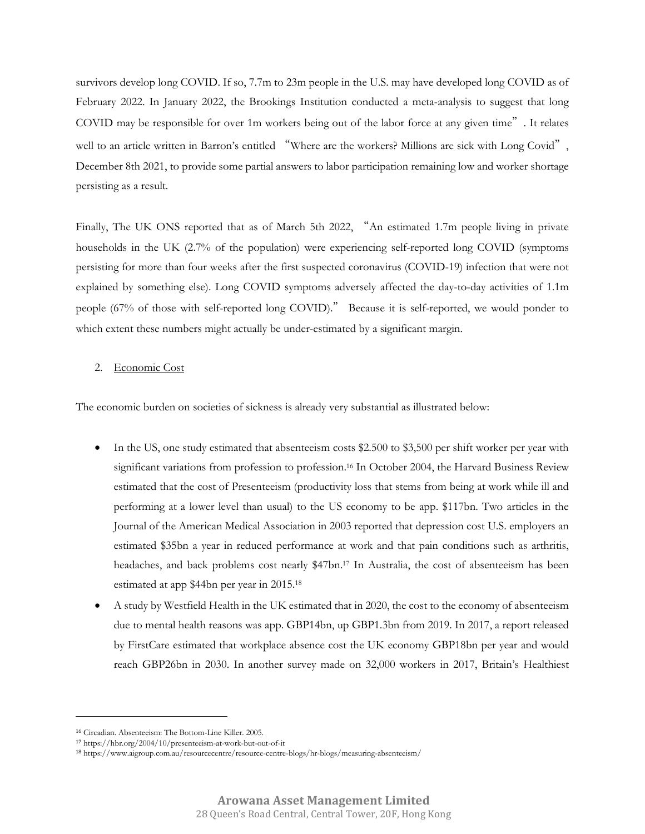survivors develop long COVID. If so, 7.7m to 23m people in the U.S. may have developed long COVID as of February 2022. In January 2022, the Brookings Institution conducted a meta-analysis to suggest that long COVID may be responsible for over 1m workers being out of the labor force at any given time". It relates well to an article written in Barron's entitled "Where are the workers? Millions are sick with Long Covid", December 8th 2021, to provide some partial answers to labor participation remaining low and worker shortage persisting as a result.

Finally, The UK ONS reported that as of March 5th 2022, "An estimated 1.7m people living in private households in the UK (2.7% of the population) were experiencing self-reported long COVID (symptoms persisting for more than four weeks after the first suspected coronavirus (COVID-19) infection that were not explained by something else). Long COVID symptoms adversely affected the day-to-day activities of 1.1m people (67% of those with self-reported long COVID)." Because it is self-reported, we would ponder to which extent these numbers might actually be under-estimated by a significant margin.

#### 2. Economic Cost

The economic burden on societies of sickness is already very substantial as illustrated below:

- In the US, one study estimated that absenteeism costs \$2.500 to \$3,500 per shift worker per year with significant variations from profession to profession. <sup>16</sup> In October 2004, the Harvard Business Review estimated that the cost of Presenteeism (productivity loss that stems from being at work while ill and performing at a lower level than usual) to the US economy to be app. \$117bn. Two articles in the Journal of the American Medical Association in 2003 reported that depression cost U.S. employers an estimated \$35bn a year in reduced performance at work and that pain conditions such as arthritis, headaches, and back problems cost nearly \$47bn.17 In Australia, the cost of absenteeism has been estimated at app \$44bn per year in 2015.<sup>18</sup>
- A study by Westfield Health in the UK estimated that in 2020, the cost to the economy of absenteeism due to mental health reasons was app. GBP14bn, up GBP1.3bn from 2019. In 2017, a report released by FirstCare estimated that workplace absence cost the UK economy GBP18bn per year and would reach GBP26bn in 2030. In another survey made on 32,000 workers in 2017, Britain's Healthiest

<sup>16</sup> Circadian. Absenteeism: The Bottom-Line Killer. 2005.

<sup>17</sup> https://hbr.org/2004/10/presenteeism-at-work-but-out-of-it

<sup>18</sup> https://www.aigroup.com.au/resourcecentre/resource-centre-blogs/hr-blogs/measuring-absenteeism/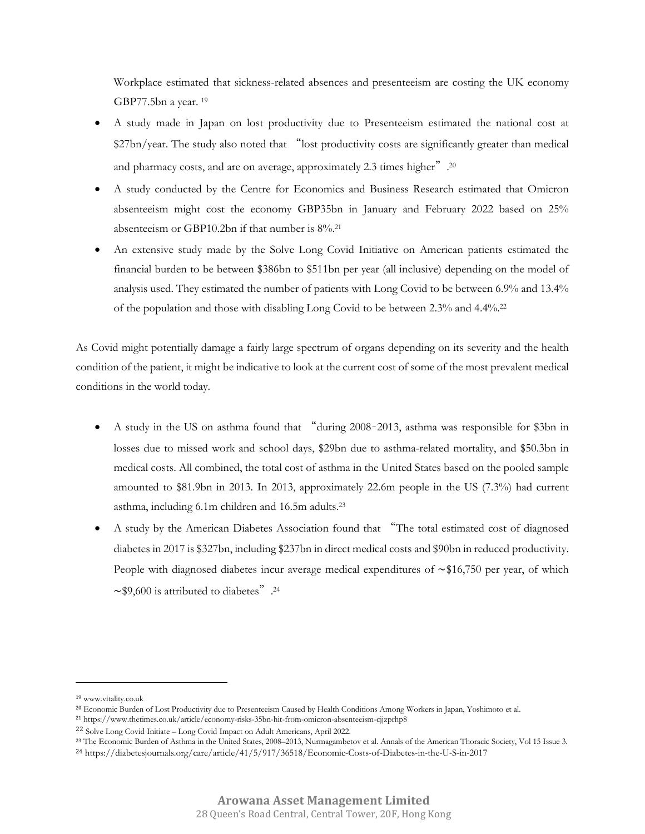Workplace estimated that sickness-related absences and presenteeism are costing the UK economy GBP77.5bn a year. <sup>19</sup>

- A study made in Japan on lost productivity due to Presenteeism estimated the national cost at \$27bn/year. The study also noted that "lost productivity costs are significantly greater than medical and pharmacy costs, and are on average, approximately 2.3 times higher".<sup>20</sup>
- A study conducted by the Centre for Economics and Business Research estimated that Omicron absenteeism might cost the economy GBP35bn in January and February 2022 based on 25% absenteeism or GBP10.2bn if that number is 8%.<sup>21</sup>
- An extensive study made by the Solve Long Covid Initiative on American patients estimated the financial burden to be between \$386bn to \$511bn per year (all inclusive) depending on the model of analysis used. They estimated the number of patients with Long Covid to be between 6.9% and 13.4% of the population and those with disabling Long Covid to be between 2.3% and 4.4%.<sup>22</sup>

As Covid might potentially damage a fairly large spectrum of organs depending on its severity and the health condition of the patient, it might be indicative to look at the current cost of some of the most prevalent medical conditions in the world today.

- A study in the US on asthma found that "during 2008–2013, asthma was responsible for \$3bn in losses due to missed work and school days, \$29bn due to asthma-related mortality, and \$50.3bn in medical costs. All combined, the total cost of asthma in the United States based on the pooled sample amounted to \$81.9bn in 2013. In 2013, approximately 22.6m people in the US (7.3%) had current asthma, including 6.1m children and 16.5m adults.<sup>23</sup>
- A study by the American Diabetes Association found that "The total estimated cost of diagnosed diabetes in 2017 is \$327bn, including \$237bn in direct medical costs and \$90bn in reduced productivity. People with diagnosed diabetes incur average medical expenditures of ∼\$16,750 per year, of which ∼\$9,600 is attributed to diabetes". 24

<sup>19</sup> www.vitality.co.uk

<sup>20</sup> Economic Burden of Lost Productivity due to Presenteeism Caused by Health Conditions Among Workers in Japan, Yoshimoto et al.

<sup>21</sup> https://www.thetimes.co.uk/article/economy-risks-35bn-hit-from-omicron-absenteeism-cjjzprhp8

<sup>22</sup> Solve Long Covid Initiate – Long Covid Impact on Adult Americans, April 2022.

<sup>&</sup>lt;sup>23</sup> The Economic Burden of Asthma in the United States, 2008–2013, Nurmagambetov et al. Annals of the American Thoracic Society, Vol 15 Issue 3.

<sup>24</sup> https://diabetesjournals.org/care/article/41/5/917/36518/Economic-Costs-of-Diabetes-in-the-U-S-in-2017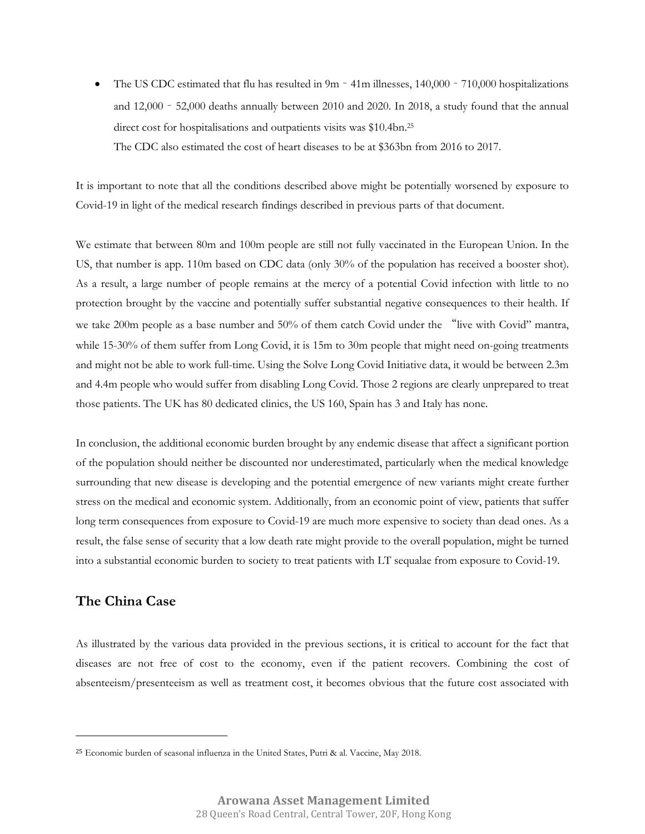The US CDC estimated that flu has resulted in 9m – 41m illnesses, 140,000 – 710,000 hospitalizations and 12,000 – 52,000 deaths annually between 2010 and 2020. In 2018, a study found that the annual direct cost for hospitalisations and outpatients visits was \$10.4bn.<sup>25</sup> The CDC also estimated the cost of heart diseases to be at \$363bn from 2016 to 2017.

It is important to note that all the conditions described above might be potentially worsened by exposure to Covid-19 in light of the medical research findings described in previous parts of that document.

We estimate that between 80m and 100m people are still not fully vaccinated in the European Union. In the US, that number is app. 110m based on CDC data (only 30% of the population has received a booster shot). As a result, a large number of people remains at the mercy of a potential Covid infection with little to no protection brought by the vaccine and potentially suffer substantial negative consequences to their health. If we take 200m people as a base number and 50% of them catch Covid under the "live with Covid" mantra, while 15-30% of them suffer from Long Covid, it is 15m to 30m people that might need on-going treatments and might not be able to work full-time. Using the Solve Long Covid Initiative data, it would be between 2.3m and 4.4m people who would suffer from disabling Long Covid. Those 2 regions are clearly unprepared to treat those patients. The UK has 80 dedicated clinics, the US 160, Spain has 3 and Italy has none.

In conclusion, the additional economic burden brought by any endemic disease that affect a significant portion of the population should neither be discounted nor underestimated, particularly when the medical knowledge surrounding that new disease is developing and the potential emergence of new variants might create further stress on the medical and economic system. Additionally, from an economic point of view, patients that suffer long term consequences from exposure to Covid-19 are much more expensive to society than dead ones. As a result, the false sense of security that a low death rate might provide to the overall population, might be turned into a substantial economic burden to society to treat patients with LT sequalae from exposure to Covid-19.

## **The China Case**

As illustrated by the various data provided in the previous sections, it is critical to account for the fact that diseases are not free of cost to the economy, even if the patient recovers. Combining the cost of absenteeism/presenteeism as well as treatment cost, it becomes obvious that the future cost associated with

<sup>25</sup> Economic burden of seasonal influenza in the United States, Putri & al. Vaccine, May 2018.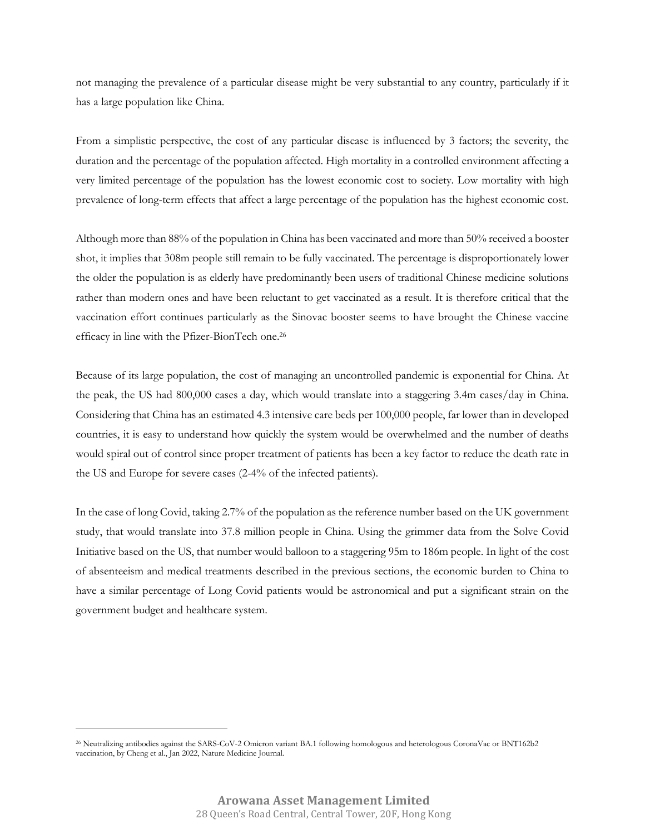not managing the prevalence of a particular disease might be very substantial to any country, particularly if it has a large population like China.

From a simplistic perspective, the cost of any particular disease is influenced by 3 factors; the severity, the duration and the percentage of the population affected. High mortality in a controlled environment affecting a very limited percentage of the population has the lowest economic cost to society. Low mortality with high prevalence of long-term effects that affect a large percentage of the population has the highest economic cost.

Although more than 88% of the population in China has been vaccinated and more than 50% received a booster shot, it implies that 308m people still remain to be fully vaccinated. The percentage is disproportionately lower the older the population is as elderly have predominantly been users of traditional Chinese medicine solutions rather than modern ones and have been reluctant to get vaccinated as a result. It is therefore critical that the vaccination effort continues particularly as the Sinovac booster seems to have brought the Chinese vaccine efficacy in line with the Pfizer-BionTech one.<sup>26</sup>

Because of its large population, the cost of managing an uncontrolled pandemic is exponential for China. At the peak, the US had 800,000 cases a day, which would translate into a staggering 3.4m cases/day in China. Considering that China has an estimated 4.3 intensive care beds per 100,000 people, far lower than in developed countries, it is easy to understand how quickly the system would be overwhelmed and the number of deaths would spiral out of control since proper treatment of patients has been a key factor to reduce the death rate in the US and Europe for severe cases (2-4% of the infected patients).

In the case of long Covid, taking 2.7% of the population as the reference number based on the UK government study, that would translate into 37.8 million people in China. Using the grimmer data from the Solve Covid Initiative based on the US, that number would balloon to a staggering 95m to 186m people. In light of the cost of absenteeism and medical treatments described in the previous sections, the economic burden to China to have a similar percentage of Long Covid patients would be astronomical and put a significant strain on the government budget and healthcare system.

<sup>26</sup> Neutralizing antibodies against the SARS-CoV-2 Omicron variant BA.1 following homologous and heterologous CoronaVac or BNT162b2 vaccination, by Cheng et al., Jan 2022, Nature Medicine Journal.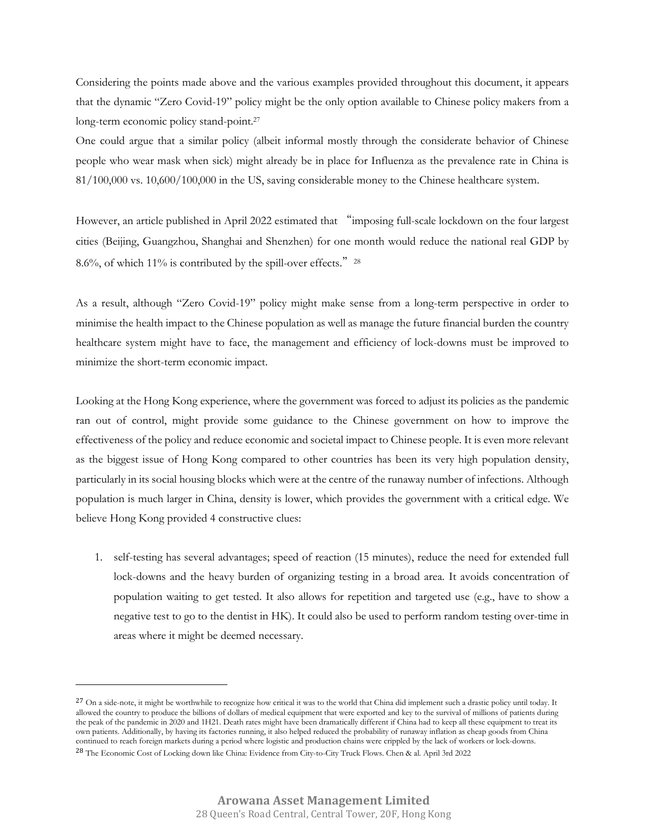Considering the points made above and the various examples provided throughout this document, it appears that the dynamic "Zero Covid-19" policy might be the only option available to Chinese policy makers from a long-term economic policy stand-point.<sup>27</sup>

One could argue that a similar policy (albeit informal mostly through the considerate behavior of Chinese people who wear mask when sick) might already be in place for Influenza as the prevalence rate in China is 81/100,000 vs. 10,600/100,000 in the US, saving considerable money to the Chinese healthcare system.

However, an article published in April 2022 estimated that "imposing full-scale lockdown on the four largest cities (Beijing, Guangzhou, Shanghai and Shenzhen) for one month would reduce the national real GDP by 8.6%, of which 11% is contributed by the spill-over effects."  $28$ 

As a result, although "Zero Covid-19" policy might make sense from a long-term perspective in order to minimise the health impact to the Chinese population as well as manage the future financial burden the country healthcare system might have to face, the management and efficiency of lock-downs must be improved to minimize the short-term economic impact.

Looking at the Hong Kong experience, where the government was forced to adjust its policies as the pandemic ran out of control, might provide some guidance to the Chinese government on how to improve the effectiveness of the policy and reduce economic and societal impact to Chinese people. It is even more relevant as the biggest issue of Hong Kong compared to other countries has been its very high population density, particularly in its social housing blocks which were at the centre of the runaway number of infections. Although population is much larger in China, density is lower, which provides the government with a critical edge. We believe Hong Kong provided 4 constructive clues:

1. self-testing has several advantages; speed of reaction (15 minutes), reduce the need for extended full lock-downs and the heavy burden of organizing testing in a broad area. It avoids concentration of population waiting to get tested. It also allows for repetition and targeted use (e.g., have to show a negative test to go to the dentist in HK). It could also be used to perform random testing over-time in areas where it might be deemed necessary.

<sup>&</sup>lt;sup>27</sup> On a side-note, it might be worthwhile to recognize how critical it was to the world that China did implement such a drastic policy until today. It allowed the country to produce the billions of dollars of medical equipment that were exported and key to the survival of millions of patients during the peak of the pandemic in 2020 and 1H21. Death rates might have been dramatically different if China had to keep all these equipment to treat its own patients. Additionally, by having its factories running, it also helped reduced the probability of runaway inflation as cheap goods from China continued to reach foreign markets during a period where logistic and production chains were crippled by the lack of workers or lock-downs.

<sup>28</sup> The Economic Cost of Locking down like China: Evidence from City-to-City Truck Flows. Chen & al. April 3rd 2022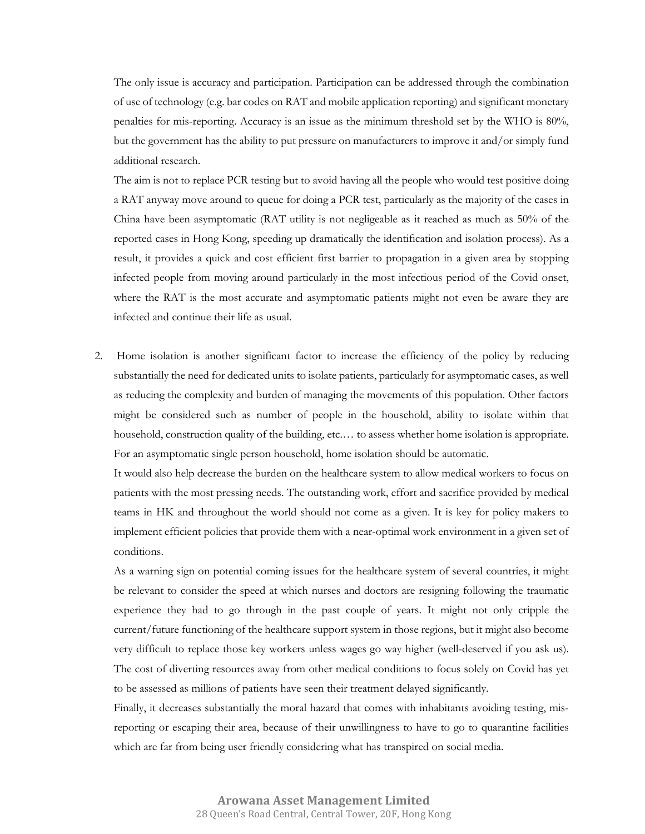The only issue is accuracy and participation. Participation can be addressed through the combination of use of technology (e.g. bar codes on RAT and mobile application reporting) and significant monetary penalties for mis-reporting. Accuracy is an issue as the minimum threshold set by the WHO is 80%, but the government has the ability to put pressure on manufacturers to improve it and/or simply fund additional research.

The aim is not to replace PCR testing but to avoid having all the people who would test positive doing a RAT anyway move around to queue for doing a PCR test, particularly as the majority of the cases in China have been asymptomatic (RAT utility is not negligeable as it reached as much as 50% of the reported cases in Hong Kong, speeding up dramatically the identification and isolation process). As a result, it provides a quick and cost efficient first barrier to propagation in a given area by stopping infected people from moving around particularly in the most infectious period of the Covid onset, where the RAT is the most accurate and asymptomatic patients might not even be aware they are infected and continue their life as usual.

2. Home isolation is another significant factor to increase the efficiency of the policy by reducing substantially the need for dedicated units to isolate patients, particularly for asymptomatic cases, as well as reducing the complexity and burden of managing the movements of this population. Other factors might be considered such as number of people in the household, ability to isolate within that household, construction quality of the building, etc.… to assess whether home isolation is appropriate. For an asymptomatic single person household, home isolation should be automatic.

It would also help decrease the burden on the healthcare system to allow medical workers to focus on patients with the most pressing needs. The outstanding work, effort and sacrifice provided by medical teams in HK and throughout the world should not come as a given. It is key for policy makers to implement efficient policies that provide them with a near-optimal work environment in a given set of conditions.

As a warning sign on potential coming issues for the healthcare system of several countries, it might be relevant to consider the speed at which nurses and doctors are resigning following the traumatic experience they had to go through in the past couple of years. It might not only cripple the current/future functioning of the healthcare support system in those regions, but it might also become very difficult to replace those key workers unless wages go way higher (well-deserved if you ask us). The cost of diverting resources away from other medical conditions to focus solely on Covid has yet to be assessed as millions of patients have seen their treatment delayed significantly.

Finally, it decreases substantially the moral hazard that comes with inhabitants avoiding testing, misreporting or escaping their area, because of their unwillingness to have to go to quarantine facilities which are far from being user friendly considering what has transpired on social media.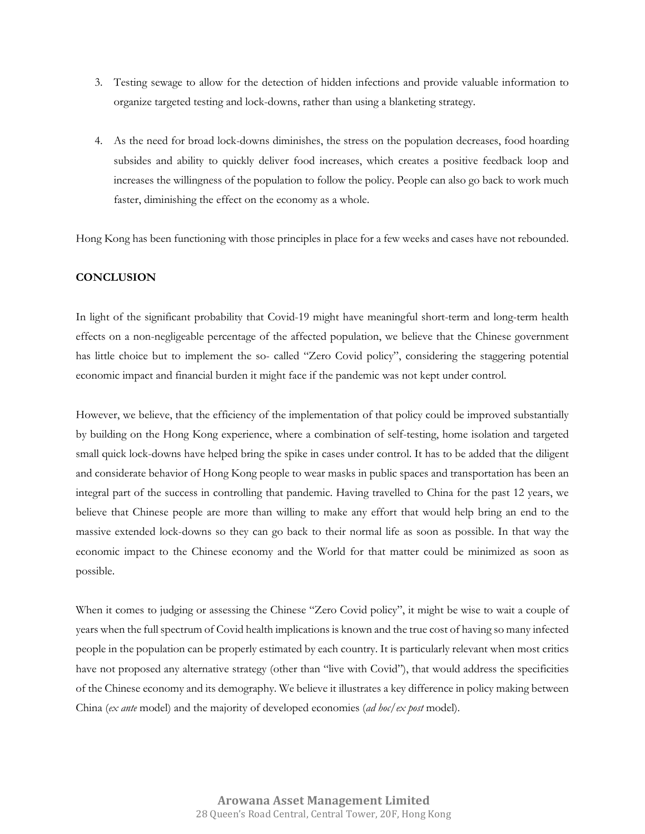- 3. Testing sewage to allow for the detection of hidden infections and provide valuable information to organize targeted testing and lock-downs, rather than using a blanketing strategy.
- 4. As the need for broad lock-downs diminishes, the stress on the population decreases, food hoarding subsides and ability to quickly deliver food increases, which creates a positive feedback loop and increases the willingness of the population to follow the policy. People can also go back to work much faster, diminishing the effect on the economy as a whole.

Hong Kong has been functioning with those principles in place for a few weeks and cases have not rebounded.

#### **CONCLUSION**

In light of the significant probability that Covid-19 might have meaningful short-term and long-term health effects on a non-negligeable percentage of the affected population, we believe that the Chinese government has little choice but to implement the so- called "Zero Covid policy", considering the staggering potential economic impact and financial burden it might face if the pandemic was not kept under control.

However, we believe, that the efficiency of the implementation of that policy could be improved substantially by building on the Hong Kong experience, where a combination of self-testing, home isolation and targeted small quick lock-downs have helped bring the spike in cases under control. It has to be added that the diligent and considerate behavior of Hong Kong people to wear masks in public spaces and transportation has been an integral part of the success in controlling that pandemic. Having travelled to China for the past 12 years, we believe that Chinese people are more than willing to make any effort that would help bring an end to the massive extended lock-downs so they can go back to their normal life as soon as possible. In that way the economic impact to the Chinese economy and the World for that matter could be minimized as soon as possible.

When it comes to judging or assessing the Chinese "Zero Covid policy", it might be wise to wait a couple of years when the full spectrum of Covid health implications is known and the true cost of having so many infected people in the population can be properly estimated by each country. It is particularly relevant when most critics have not proposed any alternative strategy (other than "live with Covid"), that would address the specificities of the Chinese economy and its demography. We believe it illustrates a key difference in policy making between China (*ex ante* model) and the majority of developed economies (*ad hoc*/*ex post* model).